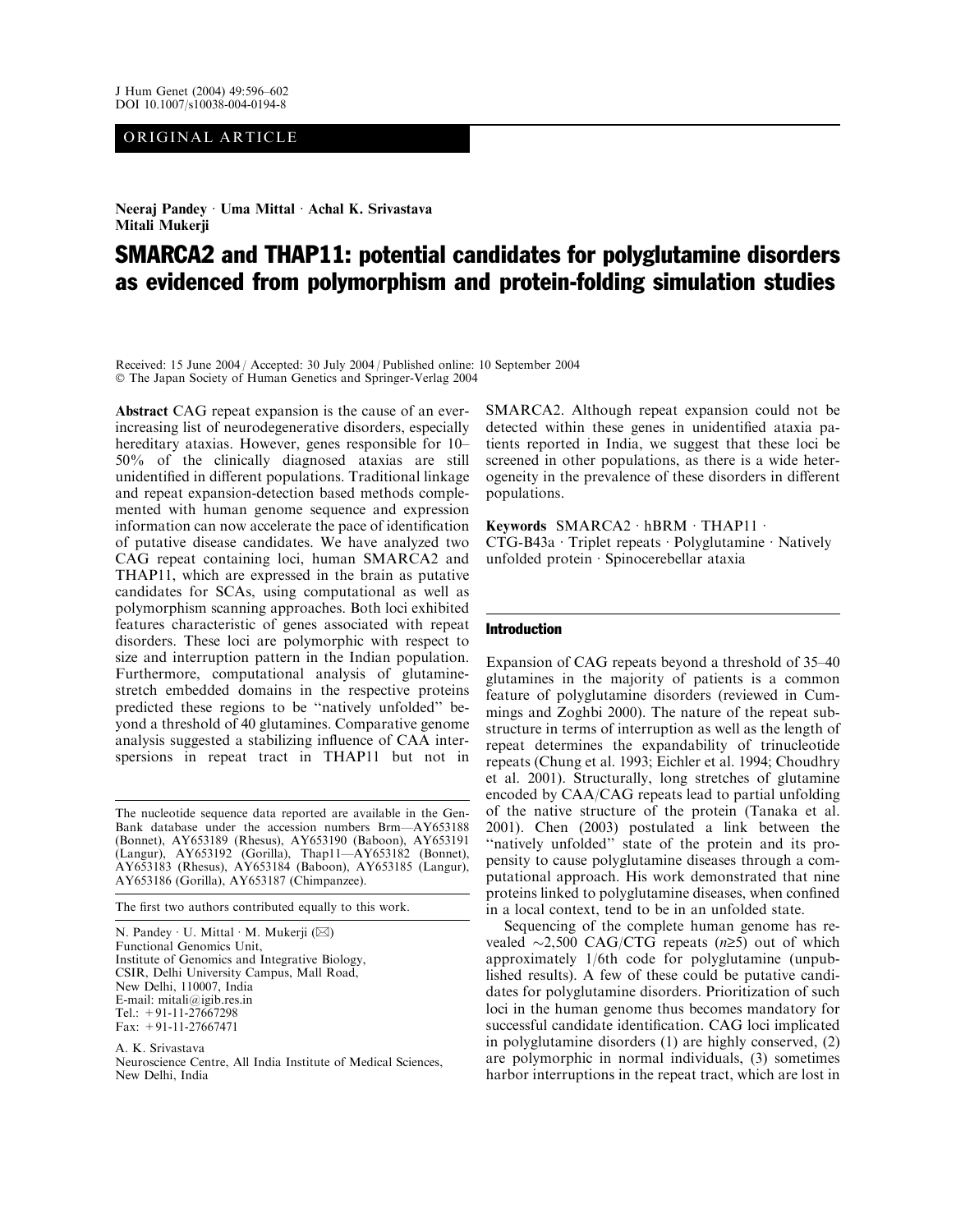## ORIGINAL ARTICLE

Neeraj Pandey · Uma Mittal · Achal K. Srivastava Mitali Mukerji

# SMARCA2 and THAP11: potential candidates for polyglutamine disorders as evidenced from polymorphism and protein-folding simulation studies

Received: 15 June 2004 / Accepted: 30 July 2004 / Published online: 10 September 2004 The Japan Society of Human Genetics and Springer-Verlag 2004

Abstract CAG repeat expansion is the cause of an everincreasing list of neurodegenerative disorders, especially hereditary ataxias. However, genes responsible for 10– 50% of the clinically diagnosed ataxias are still unidentified in different populations. Traditional linkage and repeat expansion-detection based methods complemented with human genome sequence and expression information can now accelerate the pace of identification of putative disease candidates. We have analyzed two CAG repeat containing loci, human SMARCA2 and THAP11, which are expressed in the brain as putative candidates for SCAs, using computational as well as polymorphism scanning approaches. Both loci exhibited features characteristic of genes associated with repeat disorders. These loci are polymorphic with respect to size and interruption pattern in the Indian population. Furthermore, computational analysis of glutaminestretch embedded domains in the respective proteins predicted these regions to be ''natively unfolded'' beyond a threshold of 40 glutamines. Comparative genome analysis suggested a stabilizing influence of CAA interspersions in repeat tract in THAP11 but not in

The nucleotide sequence data reported are available in the Gen-Bank database under the accession numbers Brm—AY653188 (Bonnet), AY653189 (Rhesus), AY653190 (Baboon), AY653191 (Langur), AY653192 (Gorilla), Thap11—AY653182 (Bonnet), AY653183 (Rhesus), AY653184 (Baboon), AY653185 (Langur), AY653186 (Gorilla), AY653187 (Chimpanzee).

The first two authors contributed equally to this work.

N. Pandey  $\cdot$  U. Mittal  $\cdot$  M. Mukerji ( $\boxtimes$ ) Functional Genomics Unit, Institute of Genomics and Integrative Biology, CSIR, Delhi University Campus, Mall Road, New Delhi, 110007, India E-mail: mitali@igib.res.in Tel.: +91-11-27667298 Fax: +91-11-27667471

A. K. Srivastava Neuroscience Centre, All India Institute of Medical Sciences, New Delhi, India

SMARCA2. Although repeat expansion could not be detected within these genes in unidentified ataxia patients reported in India, we suggest that these loci be screened in other populations, as there is a wide heterogeneity in the prevalence of these disorders in different populations.

Keywords SMARCA2 · hBRM · THAP11 ·  $CTG-B43a \cdot Triplet$  repeats  $\cdot$  Polyglutamine  $\cdot$  Natively unfolded protein · Spinocerebellar ataxia

#### Introduction

Expansion of CAG repeats beyond a threshold of 35–40 glutamines in the majority of patients is a common feature of polyglutamine disorders (reviewed in Cummings and Zoghbi 2000). The nature of the repeat substructure in terms of interruption as well as the length of repeat determines the expandability of trinucleotide repeats (Chung et al. 1993; Eichler et al. 1994; Choudhry et al. 2001). Structurally, long stretches of glutamine encoded by CAA/CAG repeats lead to partial unfolding of the native structure of the protein (Tanaka et al. 2001). Chen (2003) postulated a link between the ''natively unfolded'' state of the protein and its propensity to cause polyglutamine diseases through a computational approach. His work demonstrated that nine proteins linked to polyglutamine diseases, when confined in a local context, tend to be in an unfolded state.

Sequencing of the complete human genome has revealed  $\sim$ 2,500 CAG/CTG repeats ( $n\geq$ 5) out of which approximately 1/6th code for polyglutamine (unpublished results). A few of these could be putative candidates for polyglutamine disorders. Prioritization of such loci in the human genome thus becomes mandatory for successful candidate identification. CAG loci implicated in polyglutamine disorders (1) are highly conserved, (2) are polymorphic in normal individuals, (3) sometimes harbor interruptions in the repeat tract, which are lost in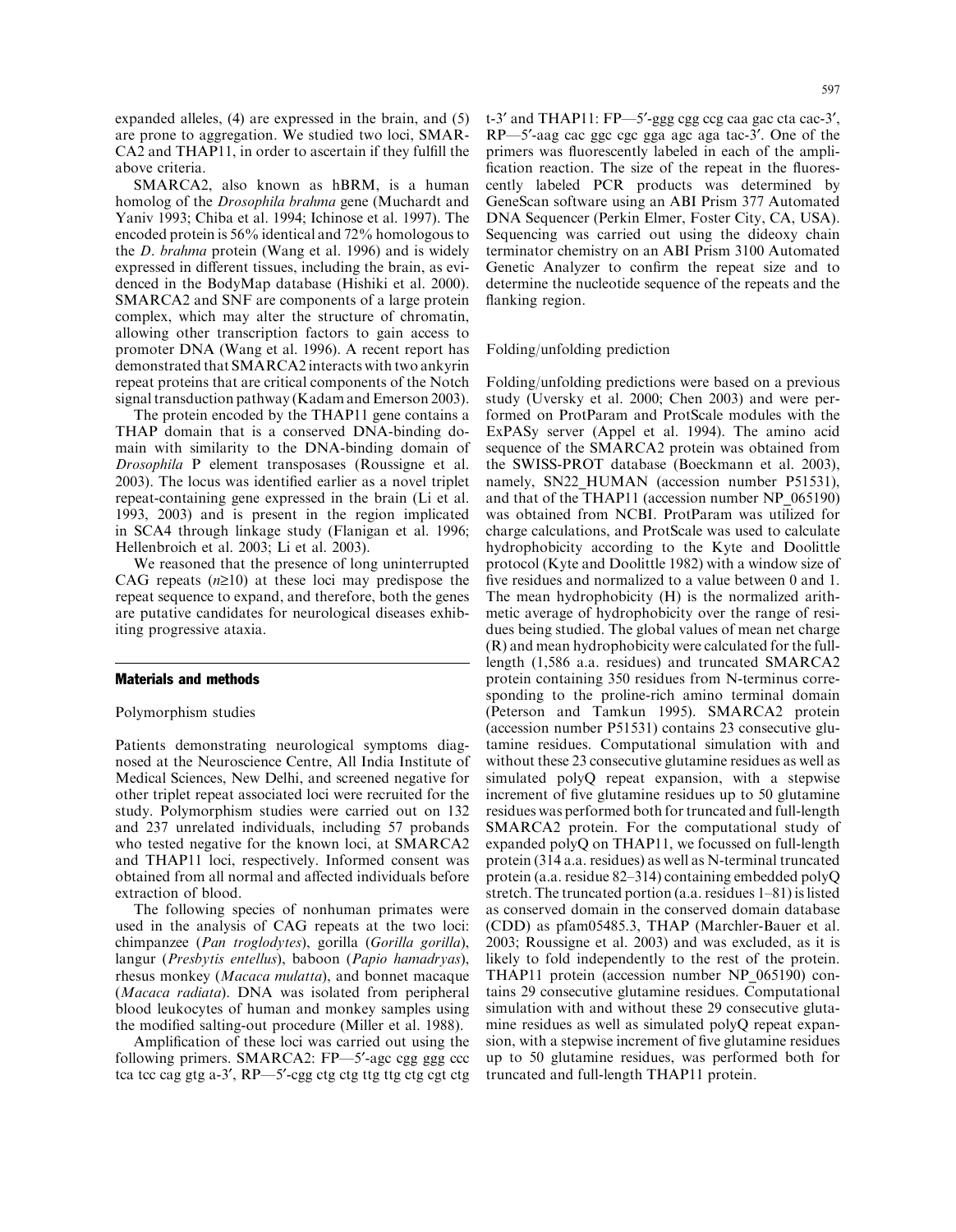expanded alleles, (4) are expressed in the brain, and (5) are prone to aggregation. We studied two loci, SMAR-CA2 and THAP11, in order to ascertain if they fulfill the above criteria.

SMARCA2, also known as hBRM, is a human homolog of the Drosophila brahma gene (Muchardt and Yaniv 1993; Chiba et al. 1994; Ichinose et al. 1997). The encoded protein is 56% identical and 72% homologous to the D. brahma protein (Wang et al. 1996) and is widely expressed in different tissues, including the brain, as evidenced in the BodyMap database (Hishiki et al. 2000). SMARCA2 and SNF are components of a large protein complex, which may alter the structure of chromatin, allowing other transcription factors to gain access to promoter DNA (Wang et al. 1996). A recent report has demonstrated that SMARCA2 interacts with two ankyrin repeat proteins that are critical components of the Notch signal transduction pathway (Kadam and Emerson 2003).

The protein encoded by the THAP11 gene contains a THAP domain that is a conserved DNA-binding domain with similarity to the DNA-binding domain of Drosophila P element transposases (Roussigne et al. 2003). The locus was identified earlier as a novel triplet repeat-containing gene expressed in the brain (Li et al. 1993, 2003) and is present in the region implicated in SCA4 through linkage study (Flanigan et al. 1996; Hellenbroich et al. 2003; Li et al. 2003).

We reasoned that the presence of long uninterrupted CAG repeats  $(n \geq 10)$  at these loci may predispose the repeat sequence to expand, and therefore, both the genes are putative candidates for neurological diseases exhibiting progressive ataxia.

#### Materials and methods

### Polymorphism studies

Patients demonstrating neurological symptoms diagnosed at the Neuroscience Centre, All India Institute of Medical Sciences, New Delhi, and screened negative for other triplet repeat associated loci were recruited for the study. Polymorphism studies were carried out on 132 and 237 unrelated individuals, including 57 probands who tested negative for the known loci, at SMARCA2 and THAP11 loci, respectively. Informed consent was obtained from all normal and affected individuals before extraction of blood.

The following species of nonhuman primates were used in the analysis of CAG repeats at the two loci: chimpanzee (Pan troglodytes), gorilla (Gorilla gorilla), langur (Presbytis entellus), baboon (Papio hamadryas), rhesus monkey (Macaca mulatta), and bonnet macaque (Macaca radiata). DNA was isolated from peripheral blood leukocytes of human and monkey samples using the modified salting-out procedure (Miller et al. 1988).

Amplification of these loci was carried out using the following primers. SMARCA2: FP-5'-agc cgg ggg ccc tca tcc cag gtg a-3',  $RP-5'$ -cgg ctg ctg ttg ttg ctg cgt ctg

t-3<sup> $\prime$ </sup> and THAP11: FP—5 $\prime$ -ggg cgg ccg caa gac cta cac-3 $\prime$ ,  $RP$ —5 $'$ -aag cac ggc cgc gga agc aga tac-3 $'$ . One of the primers was fluorescently labeled in each of the amplification reaction. The size of the repeat in the fluorescently labeled PCR products was determined by GeneScan software using an ABI Prism 377 Automated DNA Sequencer (Perkin Elmer, Foster City, CA, USA). Sequencing was carried out using the dideoxy chain terminator chemistry on an ABI Prism 3100 Automated Genetic Analyzer to confirm the repeat size and to determine the nucleotide sequence of the repeats and the flanking region.

Folding/unfolding prediction

Folding/unfolding predictions were based on a previous study (Uversky et al. 2000; Chen 2003) and were performed on ProtParam and ProtScale modules with the ExPASy server (Appel et al. 1994). The amino acid sequence of the SMARCA2 protein was obtained from the SWISS-PROT database (Boeckmann et al. 2003), namely, SN22 HUMAN (accession number P51531), and that of the THAP11 (accession number NP\_065190) was obtained from NCBI. ProtParam was utilized for charge calculations, and ProtScale was used to calculate hydrophobicity according to the Kyte and Doolittle protocol (Kyte and Doolittle 1982) with a window size of five residues and normalized to a value between 0 and 1. The mean hydrophobicity (H) is the normalized arithmetic average of hydrophobicity over the range of residues being studied. The global values of mean net charge (R) and mean hydrophobicity were calculated for the fulllength (1,586 a.a. residues) and truncated SMARCA2 protein containing 350 residues from N-terminus corresponding to the proline-rich amino terminal domain (Peterson and Tamkun 1995). SMARCA2 protein (accession number P51531) contains 23 consecutive glutamine residues. Computational simulation with and without these 23 consecutive glutamine residues as well as simulated polyQ repeat expansion, with a stepwise increment of five glutamine residues up to 50 glutamine residues was performed both for truncated and full-length SMARCA2 protein. For the computational study of expanded polyQ on THAP11, we focussed on full-length protein (314 a.a. residues) as well as N-terminal truncated protein (a.a. residue 82–314) containing embedded polyQ stretch. The truncated portion (a.a. residues 1–81) is listed as conserved domain in the conserved domain database (CDD) as pfam05485.3, THAP (Marchler-Bauer et al. 2003; Roussigne et al. 2003) and was excluded, as it is likely to fold independently to the rest of the protein. THAP11 protein (accession number NP\_065190) contains 29 consecutive glutamine residues. Computational simulation with and without these 29 consecutive glutamine residues as well as simulated polyQ repeat expansion, with a stepwise increment of five glutamine residues up to 50 glutamine residues, was performed both for truncated and full-length THAP11 protein.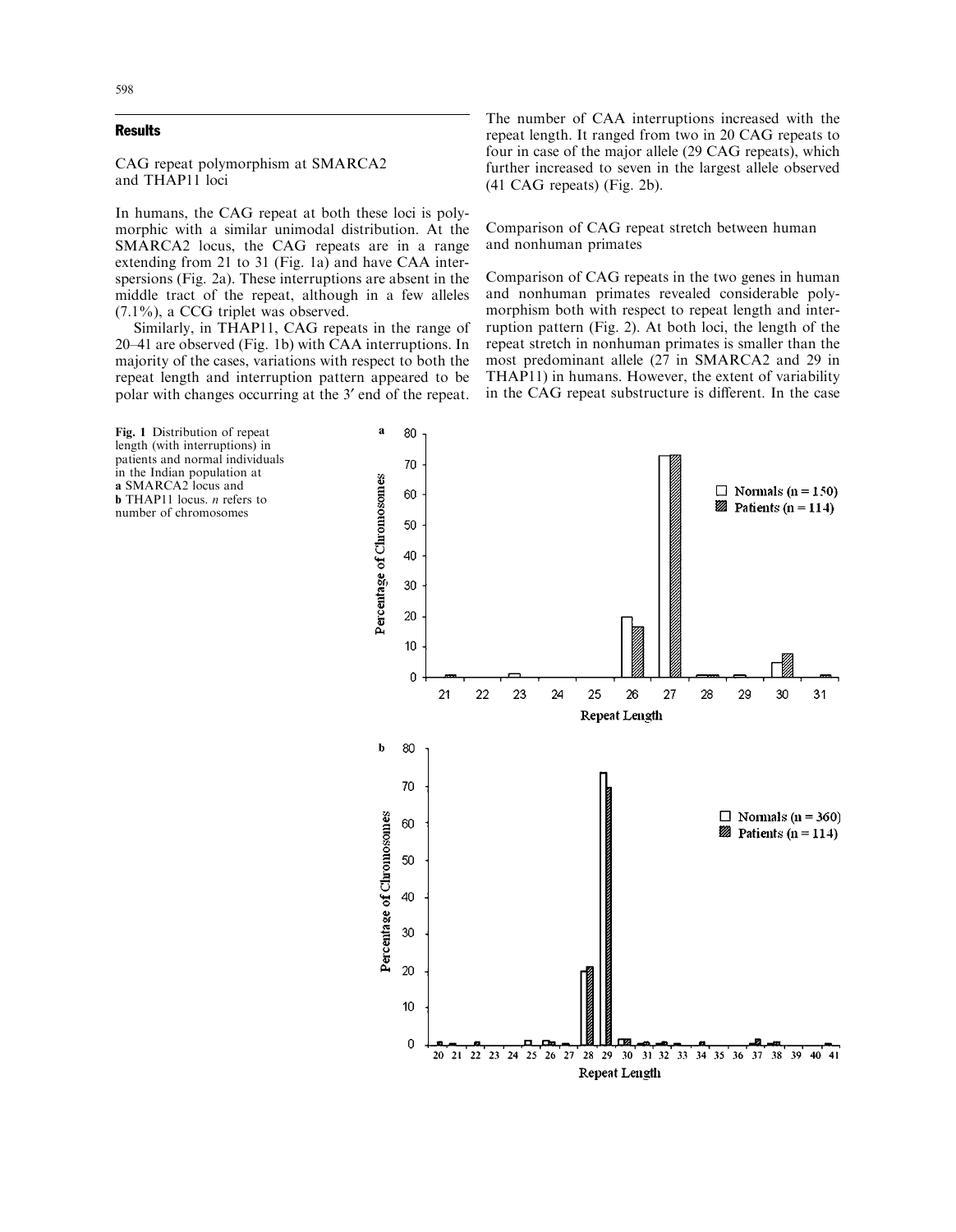# **Results**

CAG repeat polymorphism at SMARCA2 and THAP11 loci

In humans, the CAG repeat at both these loci is polymorphic with a similar unimodal distribution. At the SMARCA2 locus, the CAG repeats are in a range extending from 21 to 31 (Fig. 1a) and have CAA interspersions (Fig. 2a). These interruptions are absent in the middle tract of the repeat, although in a few alleles  $(7.1\%)$ , a CCG triplet was observed.

Similarly, in THAP11, CAG repeats in the range of 20–41 are observed (Fig. 1b) with CAA interruptions. In majority of the cases, variations with respect to both the repeat length and interruption pattern appeared to be polar with changes occurring at the 3' end of the repeat.

Fig. 1 Distribution of repeat length (with interruptions) in patients and normal individuals in the Indian population at a SMARCA2 locus and **b** THAP11 locus. *n* refers to number of chromosomes

The number of CAA interruptions increased with the repeat length. It ranged from two in 20 CAG repeats to four in case of the major allele (29 CAG repeats), which further increased to seven in the largest allele observed (41 CAG repeats) (Fig. 2b).

Comparison of CAG repeat stretch between human and nonhuman primates

Comparison of CAG repeats in the two genes in human and nonhuman primates revealed considerable polymorphism both with respect to repeat length and interruption pattern (Fig. 2). At both loci, the length of the repeat stretch in nonhuman primates is smaller than the most predominant allele (27 in SMARCA2 and 29 in THAP11) in humans. However, the extent of variability in the CAG repeat substructure is different. In the case

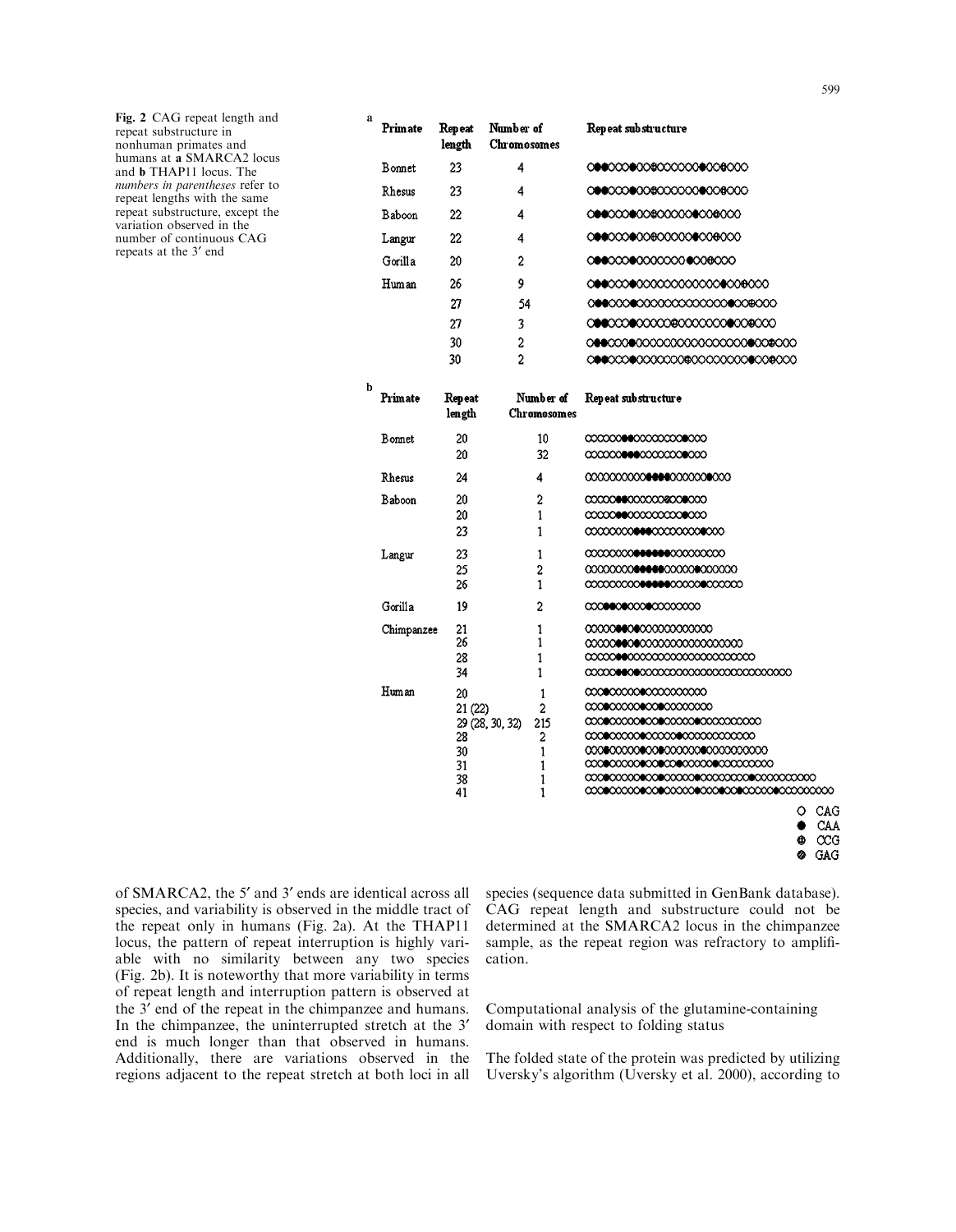Fig. 2 CAG repeat length and repeat substructure in nonhuman primates and humans at a SMARCA2 locus and b THAP11 locus. The numbers in parentheses refer to repeat lengths with the same repeat substructure, except the variation observed in the number of continuous CAG repeats at the 3' end

| a | Primate       | <b>Repeat</b><br>length | Number of<br>Chromosomes | Repeat substructure     |
|---|---------------|-------------------------|--------------------------|-------------------------|
|   | Bonnet        | 23                      | 4                        |                         |
|   | Rhesus        | 23                      | 4                        |                         |
|   | <b>Baboon</b> | 22                      | 4                        |                         |
|   | Langur        | 22                      | 4                        |                         |
|   | Gorilla       | 20                      | 2                        |                         |
|   | Hum an        | 26                      | 9                        |                         |
|   |               | 27                      | 54                       |                         |
|   |               | 27                      | 3                        |                         |
|   |               | 30                      | 2                        |                         |
|   |               | 30                      | 2                        |                         |
| h | Primate       | <b>Repeat</b><br>length | Number of<br>Chromosomes | Repeat substructure     |
|   | Bonnet        | 20                      | 10                       |                         |
|   |               | 20                      | 32                       |                         |
|   | Rhesus        | 24                      | 4                        |                         |
|   | Baboon        | 20                      | $\overline{c}$           |                         |
|   |               | 20                      |                          |                         |
|   |               | 23                      | 1                        | <b>∞∞∞∞∞●●●∞∞∞∞∞</b> ∞∞ |
|   | Langur        | 23                      | 1                        |                         |

| Bonnet     | 20                  | 10 <sup>°</sup> |                         |
|------------|---------------------|-----------------|-------------------------|
|            | 20                  | 32              |                         |
| Rhesus     | 24                  | 4               |                         |
| Baboon     | 20                  | 2               |                         |
|            | 20                  |                 |                         |
|            | 23                  |                 |                         |
| Langur     | 23                  |                 |                         |
|            | 25                  | 2               |                         |
|            | 26                  |                 |                         |
| Gorilla    | 19                  | 2               |                         |
| Chimpanzee | 21                  |                 |                         |
|            | 26                  |                 |                         |
|            | 28                  |                 |                         |
|            | 34                  |                 |                         |
| Human      | 20                  |                 |                         |
|            | 21 (22)             | 2               | 00000000000000000000000 |
|            | 29 (28, 30, 32) 215 |                 |                         |
|            | 28                  | 2               |                         |
|            | 30                  |                 |                         |
|            | 31                  |                 |                         |
|            | 38                  |                 |                         |
|            | 41                  |                 |                         |
|            |                     |                 | CAC<br>Ω                |
|            |                     |                 | CA/                     |
|            |                     |                 | ccc<br>۵                |

Э A. **&** GAG

of SMARCA2, the 5' and 3' ends are identical across all species, and variability is observed in the middle tract of the repeat only in humans (Fig. 2a). At the THAP11 locus, the pattern of repeat interruption is highly variable with no similarity between any two species (Fig. 2b). It is noteworthy that more variability in terms of repeat length and interruption pattern is observed at the 3' end of the repeat in the chimpanzee and humans. In the chimpanzee, the uninterrupted stretch at the 3<sup>'</sup> end is much longer than that observed in humans. Additionally, there are variations observed in the regions adjacent to the repeat stretch at both loci in all

species (sequence data submitted in GenBank database). CAG repeat length and substructure could not be determined at the SMARCA2 locus in the chimpanzee sample, as the repeat region was refractory to amplification.

Computational analysis of the glutamine-containing domain with respect to folding status

The folded state of the protein was predicted by utilizing Uversky's algorithm (Uversky et al. 2000), according to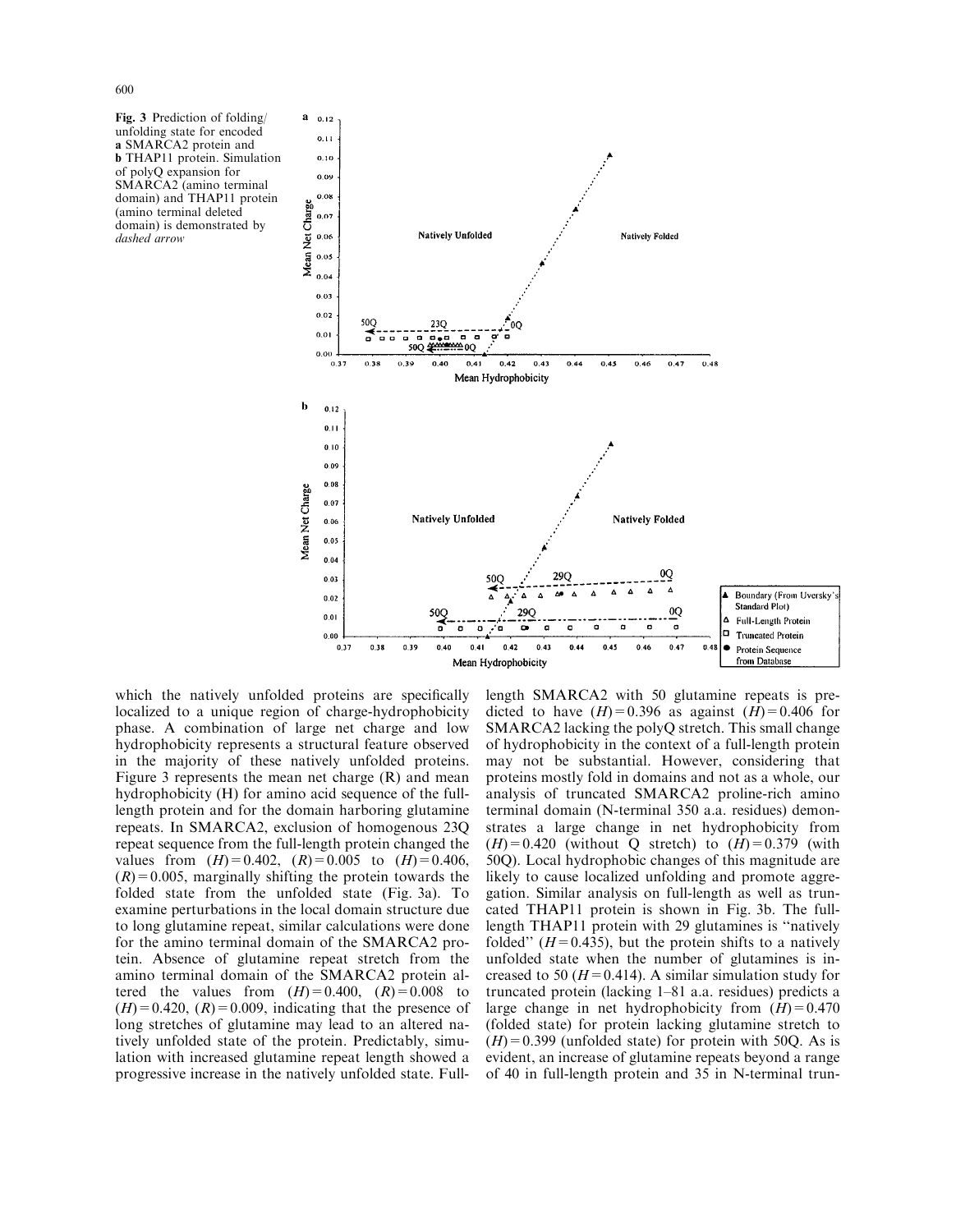Fig. 3 Prediction of folding unfolding state for encoded a SMARCA2 protein and b THAP11 protein. Simulation of polyQ expansion for SMARCA2 (amino terminal domain) and THAP11 protein (amino terminal deleted domain) is demonstrated by dashed arrow



which the natively unfolded proteins are specifically localized to a unique region of charge-hydrophobicity phase. A combination of large net charge and low hydrophobicity represents a structural feature observed in the majority of these natively unfolded proteins. Figure 3 represents the mean net charge (R) and mean hydrophobicity (H) for amino acid sequence of the fulllength protein and for the domain harboring glutamine repeats. In SMARCA2, exclusion of homogenous 23Q repeat sequence from the full-length protein changed the values from  $(H) = 0.402$ ,  $(R) = 0.005$  to  $(H) = 0.406$ ,  $(R)=0.005$ , marginally shifting the protein towards the folded state from the unfolded state (Fig. 3a). To examine perturbations in the local domain structure due to long glutamine repeat, similar calculations were done for the amino terminal domain of the SMARCA2 protein. Absence of glutamine repeat stretch from the amino terminal domain of the SMARCA2 protein altered the values from  $(H)=0.400$ ,  $(R)=0.008$  to  $(H)=0.420$ ,  $(R)=0.009$ , indicating that the presence of long stretches of glutamine may lead to an altered natively unfolded state of the protein. Predictably, simulation with increased glutamine repeat length showed a progressive increase in the natively unfolded state. Full-

length SMARCA2 with 50 glutamine repeats is predicted to have  $(H) = 0.396$  as against  $(H) = 0.406$  for SMARCA2 lacking the polyQ stretch. This small change of hydrophobicity in the context of a full-length protein may not be substantial. However, considering that proteins mostly fold in domains and not as a whole, our analysis of truncated SMARCA2 proline-rich amino terminal domain (N-terminal 350 a.a. residues) demonstrates a large change in net hydrophobicity from  $(H)=0.420$  (without Q stretch) to  $(H)=0.379$  (with 50Q). Local hydrophobic changes of this magnitude are likely to cause localized unfolding and promote aggregation. Similar analysis on full-length as well as truncated THAP11 protein is shown in Fig. 3b. The fulllength THAP11 protein with 29 glutamines is ''natively folded" ( $H=0.435$ ), but the protein shifts to a natively unfolded state when the number of glutamines is increased to 50 ( $H=0.414$ ). A similar simulation study for truncated protein (lacking 1–81 a.a. residues) predicts a large change in net hydrophobicity from  $(H) = 0.470$ (folded state) for protein lacking glutamine stretch to  $(H)=0.399$  (unfolded state) for protein with 50Q. As is evident, an increase of glutamine repeats beyond a range of 40 in full-length protein and 35 in N-terminal trun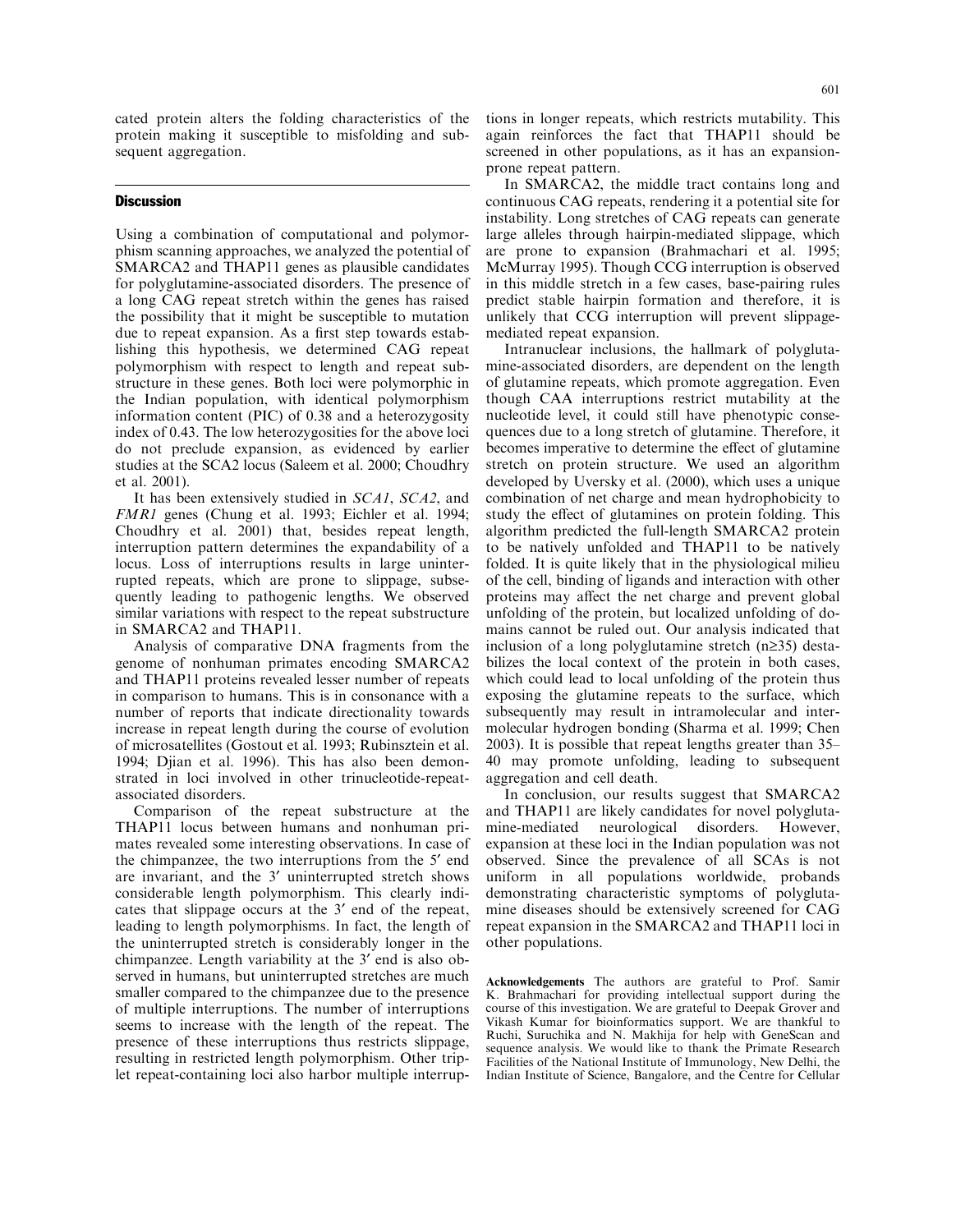cated protein alters the folding characteristics of the protein making it susceptible to misfolding and subsequent aggregation.

## **Discussion**

Using a combination of computational and polymorphism scanning approaches, we analyzed the potential of SMARCA2 and THAP11 genes as plausible candidates for polyglutamine-associated disorders. The presence of a long CAG repeat stretch within the genes has raised the possibility that it might be susceptible to mutation due to repeat expansion. As a first step towards establishing this hypothesis, we determined CAG repeat polymorphism with respect to length and repeat substructure in these genes. Both loci were polymorphic in the Indian population, with identical polymorphism information content (PIC) of 0.38 and a heterozygosity index of 0.43. The low heterozygosities for the above loci do not preclude expansion, as evidenced by earlier studies at the SCA2 locus (Saleem et al. 2000; Choudhry et al. 2001).

It has been extensively studied in SCA1, SCA2, and FMR1 genes (Chung et al. 1993; Eichler et al. 1994; Choudhry et al. 2001) that, besides repeat length, interruption pattern determines the expandability of a locus. Loss of interruptions results in large uninterrupted repeats, which are prone to slippage, subsequently leading to pathogenic lengths. We observed similar variations with respect to the repeat substructure in SMARCA2 and THAP11.

Analysis of comparative DNA fragments from the genome of nonhuman primates encoding SMARCA2 and THAP11 proteins revealed lesser number of repeats in comparison to humans. This is in consonance with a number of reports that indicate directionality towards increase in repeat length during the course of evolution of microsatellites (Gostout et al. 1993; Rubinsztein et al. 1994; Djian et al. 1996). This has also been demonstrated in loci involved in other trinucleotide-repeatassociated disorders.

Comparison of the repeat substructure at the THAP11 locus between humans and nonhuman primates revealed some interesting observations. In case of the chimpanzee, the two interruptions from the 5<sup>'</sup> end are invariant, and the 3' uninterrupted stretch shows considerable length polymorphism. This clearly indicates that slippage occurs at the 3' end of the repeat, leading to length polymorphisms. In fact, the length of the uninterrupted stretch is considerably longer in the chimpanzee. Length variability at the 3' end is also observed in humans, but uninterrupted stretches are much smaller compared to the chimpanzee due to the presence of multiple interruptions. The number of interruptions seems to increase with the length of the repeat. The presence of these interruptions thus restricts slippage, resulting in restricted length polymorphism. Other triplet repeat-containing loci also harbor multiple interruptions in longer repeats, which restricts mutability. This again reinforces the fact that THAP11 should be screened in other populations, as it has an expansionprone repeat pattern.

In SMARCA2, the middle tract contains long and continuous CAG repeats, rendering it a potential site for instability. Long stretches of CAG repeats can generate large alleles through hairpin-mediated slippage, which are prone to expansion (Brahmachari et al. 1995; McMurray 1995). Though CCG interruption is observed in this middle stretch in a few cases, base-pairing rules predict stable hairpin formation and therefore, it is unlikely that CCG interruption will prevent slippagemediated repeat expansion.

Intranuclear inclusions, the hallmark of polyglutamine-associated disorders, are dependent on the length of glutamine repeats, which promote aggregation. Even though CAA interruptions restrict mutability at the nucleotide level, it could still have phenotypic consequences due to a long stretch of glutamine. Therefore, it becomes imperative to determine the effect of glutamine stretch on protein structure. We used an algorithm developed by Uversky et al. (2000), which uses a unique combination of net charge and mean hydrophobicity to study the effect of glutamines on protein folding. This algorithm predicted the full-length SMARCA2 protein to be natively unfolded and THAP11 to be natively folded. It is quite likely that in the physiological milieu of the cell, binding of ligands and interaction with other proteins may affect the net charge and prevent global unfolding of the protein, but localized unfolding of domains cannot be ruled out. Our analysis indicated that inclusion of a long polyglutamine stretch  $(n \geq 35)$  destabilizes the local context of the protein in both cases, which could lead to local unfolding of the protein thus exposing the glutamine repeats to the surface, which subsequently may result in intramolecular and intermolecular hydrogen bonding (Sharma et al. 1999; Chen 2003). It is possible that repeat lengths greater than 35– 40 may promote unfolding, leading to subsequent aggregation and cell death.

In conclusion, our results suggest that SMARCA2 and THAP11 are likely candidates for novel polyglutamine-mediated neurological disorders. However, expansion at these loci in the Indian population was not observed. Since the prevalence of all SCAs is not uniform in all populations worldwide, probands demonstrating characteristic symptoms of polyglutamine diseases should be extensively screened for CAG repeat expansion in the SMARCA2 and THAP11 loci in other populations.

Acknowledgements The authors are grateful to Prof. Samir K. Brahmachari for providing intellectual support during the course of this investigation. We are grateful to Deepak Grover and Vikash Kumar for bioinformatics support. We are thankful to Ruchi, Suruchika and N. Makhija for help with GeneScan and sequence analysis. We would like to thank the Primate Research Facilities of the National Institute of Immunology, New Delhi, the Indian Institute of Science, Bangalore, and the Centre for Cellular